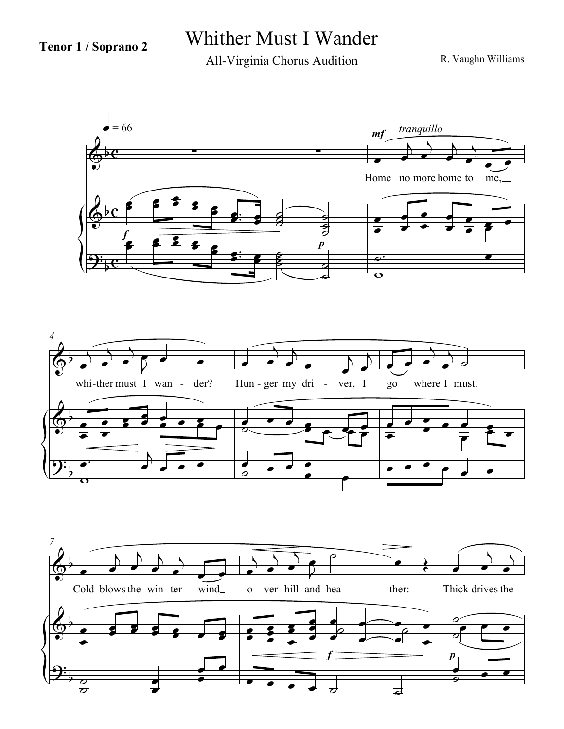## **Tenor 1 / Soprano 2** Whither Must I Wander

All-Virginia Chorus Audition

R. Vaughn Williams